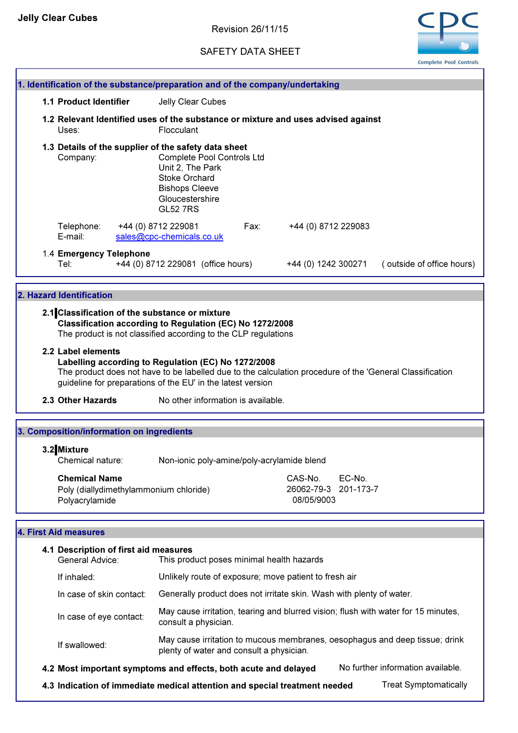# SAFETY DATA SHEET



|                                           | 1. Identification of the substance/preparation and of the company/undertaking                                                                                                                        |      |                                                                                                          |                           |
|-------------------------------------------|------------------------------------------------------------------------------------------------------------------------------------------------------------------------------------------------------|------|----------------------------------------------------------------------------------------------------------|---------------------------|
| <b>1.1 Product Identifier</b>             | Jelly Clear Cubes                                                                                                                                                                                    |      |                                                                                                          |                           |
| Uses:                                     | Flocculant                                                                                                                                                                                           |      | 1.2 Relevant Identified uses of the substance or mixture and uses advised against                        |                           |
| Company:                                  | 1.3 Details of the supplier of the safety data sheet<br><b>Complete Pool Controls Ltd</b><br>Unit 2, The Park<br><b>Stoke Orchard</b><br><b>Bishops Cleeve</b><br>Gloucestershire<br><b>GL52 7RS</b> |      |                                                                                                          |                           |
| Telephone:<br>E-mail:                     | +44 (0) 8712 229081<br>sales@cpc-chemicals.co.uk                                                                                                                                                     | Fax: | +44 (0) 8712 229083                                                                                      |                           |
| 1.4 Emergency Telephone<br>Tel:           | +44 (0) 8712 229081 (office hours)                                                                                                                                                                   |      | +44 (0) 1242 300271                                                                                      | (outside of office hours) |
| 2. Hazard Identification                  |                                                                                                                                                                                                      |      |                                                                                                          |                           |
|                                           | 2.1 Classification of the substance or mixture<br>Classification according to Regulation (EC) No 1272/2008<br>The product is not classified according to the CLP regulations                         |      |                                                                                                          |                           |
| 2.2 Label elements                        | Labelling according to Regulation (EC) No 1272/2008<br>guideline for preparations of the EU' in the latest version                                                                                   |      | The product does not have to be labelled due to the calculation procedure of the 'General Classification |                           |
| 2.3 Other Hazards                         | No other information is available.                                                                                                                                                                   |      |                                                                                                          |                           |
| 3. Composition/information on ingredients |                                                                                                                                                                                                      |      |                                                                                                          |                           |

# 3.2 Mixture

Chemical nature: Non-ionic poly-amine/poly-acrylamide blend Chemical Name CAS-No. EC-No. 26062-79-3 201-173-7

# Polyacrylamide Poly (diallydimethylammonium chloride)

# 4. First Aid measures

| 4.1 Description of first aid measures<br>General Advice: | This product poses minimal health hazards                                                                               |                                   |
|----------------------------------------------------------|-------------------------------------------------------------------------------------------------------------------------|-----------------------------------|
| If inhaled:                                              | Unlikely route of exposure; move patient to fresh air                                                                   |                                   |
| In case of skin contact:                                 | Generally product does not irritate skin. Wash with plenty of water.                                                    |                                   |
| In case of eye contact:                                  | May cause irritation, tearing and blurred vision; flush with water for 15 minutes,<br>consult a physician.              |                                   |
| If swallowed:                                            | May cause irritation to mucous membranes, oesophagus and deep tissue; drink<br>plenty of water and consult a physician. |                                   |
|                                                          | 4.2 Most important symptoms and effects, both acute and delayed                                                         | No further information available. |

08/05/9003

4.3 Indication of immediate medical attention and special treatment needed Treat Symptomatically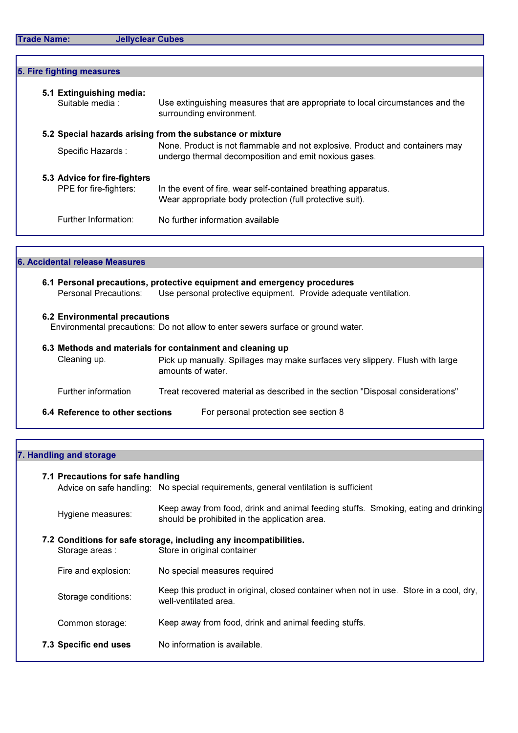|  | <b>Trade Name:</b> |
|--|--------------------|
|  |                    |

| 5. Fire fighting measures                   |                                                                                                            |
|---------------------------------------------|------------------------------------------------------------------------------------------------------------|
| 5.1 Extinguishing media:<br>Suitable media: | Use extinguishing measures that are appropriate to local circumstances and the<br>surrounding environment. |
|                                             | 5.2 Special hazards arising from the substance or mixture                                                  |
|                                             | None. Product is not flammable and not explosive. Product and containers may                               |
| Specific Hazards:                           | undergo thermal decomposition and emit noxious gases.                                                      |
| 5.3 Advice for fire-fighters                |                                                                                                            |
| PPE for fire-fighters:                      |                                                                                                            |
|                                             | In the event of fire, wear self-contained breathing apparatus.                                             |
|                                             | Wear appropriate body protection (full protective suit).                                                   |
|                                             |                                                                                                            |
| Further Information:                        | No further information available                                                                           |
|                                             |                                                                                                            |
|                                             |                                                                                                            |

### 6. Accidental release Measures

### 6.1 Personal precautions, protective equipment and emergency procedures Personal Precautions: Use personal protective equipment. Provide adequate ventilation.

### 6.2 Environmental precautions

Environmental precautions: Do not allow to enter sewers surface or ground water.

| 6.3 Methods and materials for containment and cleaning up |                                                                                                    |
|-----------------------------------------------------------|----------------------------------------------------------------------------------------------------|
| Cleaning up.                                              | Pick up manually. Spillages may make surfaces very slippery. Flush with large<br>amounts of water. |
| Further information                                       | Treat recovered material as described in the section "Disposal considerations"                     |
| 6.4 Reference to other sections                           | For personal protection see section 8                                                              |

## 7. Handling and storage

### 7.1 Precautions for safe handling

Advice on safe handling: No special requirements, general ventilation is sufficient

| Hygiene measures: | Keep away from food, drink and animal feeding stuffs. Smoking, eating and drinking |
|-------------------|------------------------------------------------------------------------------------|
|                   | should be prohibited in the application area.                                      |

# 7.2 Conditions for safe storage, including any incompatibilities.<br>Storage areas: Store in original container Store in original container Fire and explosion: No special measures required

- Storage conditions: Keep this product in original, closed container when not in use. Store in a cool, dry, well-ventilated area.
- Common storage: Keep away from food, drink and animal feeding stuffs.
- 7.3 Specific end uses No information is available.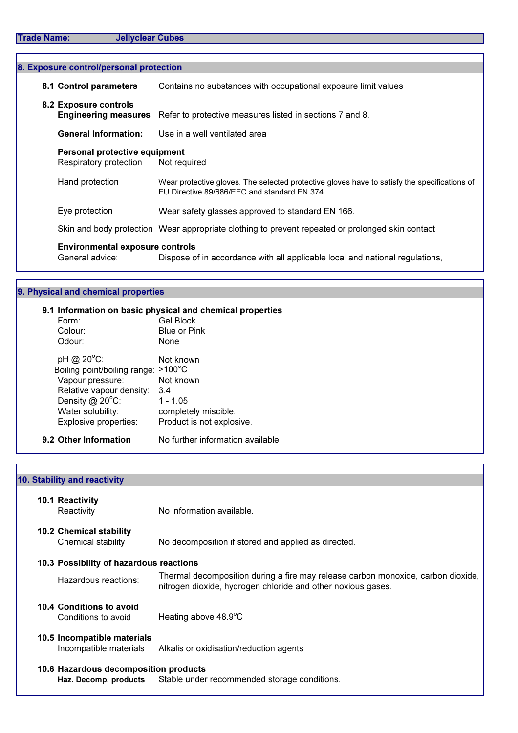| 8. Exposure control/personal protection                        |                                                                                                                                              |
|----------------------------------------------------------------|----------------------------------------------------------------------------------------------------------------------------------------------|
| 8.1 Control parameters                                         | Contains no substances with occupational exposure limit values                                                                               |
| 8.2 Exposure controls<br><b>Engineering measures</b>           | Refer to protective measures listed in sections 7 and 8.                                                                                     |
| <b>General Information:</b>                                    | Use in a well ventilated area                                                                                                                |
| <b>Personal protective equipment</b><br>Respiratory protection | Not required                                                                                                                                 |
| Hand protection                                                | Wear protective gloves. The selected protective gloves have to satisfy the specifications of<br>EU Directive 89/686/EEC and standard EN 374. |
| Eye protection                                                 | Wear safety glasses approved to standard EN 166.                                                                                             |
|                                                                | Skin and body protection Wear appropriate clothing to prevent repeated or prolonged skin contact                                             |
| <b>Environmental exposure controls</b><br>General advice:      | Dispose of in accordance with all applicable local and national regulations,                                                                 |

### 9. Physical and chemical properties

## 9.1 Information on basic physical and chemical properties

| 9.2 Other Information                                                                                                                               | No further information available                                                                        |
|-----------------------------------------------------------------------------------------------------------------------------------------------------|---------------------------------------------------------------------------------------------------------|
| Boiling point/boiling range:<br>Vapour pressure:<br>Relative vapour density:<br>Density $@$ 20 $°C$ :<br>Water solubility:<br>Explosive properties: | $>100^{\circ}$ C<br>Not known<br>3.4<br>$1 - 1.05$<br>completely miscible.<br>Product is not explosive. |
| pH @ 20°C:                                                                                                                                          | Not known                                                                                               |
| Odour:                                                                                                                                              | None                                                                                                    |
| Colour:                                                                                                                                             | <b>Blue or Pink</b>                                                                                     |
| Form:                                                                                                                                               | <b>Gel Block</b>                                                                                        |

### 10. Stability and reactivity

| 10.1 Reactivity |                           |  |
|-----------------|---------------------------|--|
| Reactivity      | No information available. |  |
|                 |                           |  |

| <b>10.2 Chemical stability</b> |                                                     |
|--------------------------------|-----------------------------------------------------|
| Chemical stability             | No decomposition if stored and applied as directed. |

## 10.3 Possibility of hazardous reactions

Hazardous reactions: Thermal decomposition during a fire may release carbon monoxide, carbon dioxide, nitrogen dioxide, hydrogen chloride and other noxious gases.

# 10.4 Conditions to avoid

Conditions to avoid Heating above 48.9°C

# 10.5 Incompatible materials

Incompatible materials Alkalis or oxidisation/reduction agents

## 10.6 Hazardous decomposition products

Haz. Decomp. products Stable under recommended storage conditions.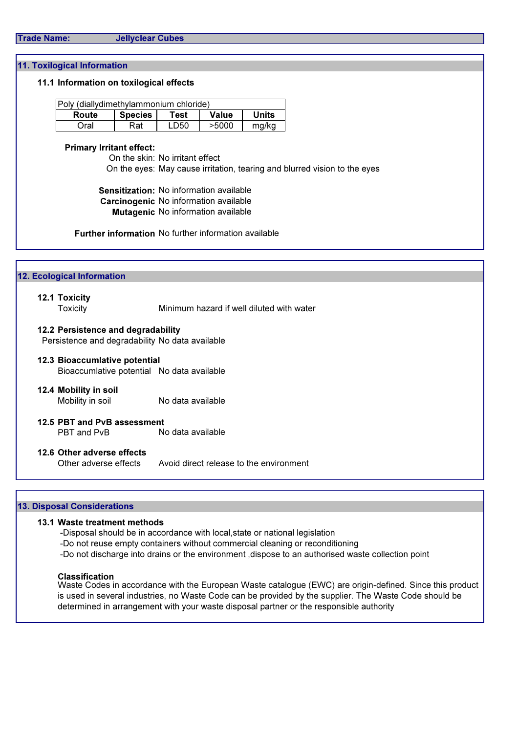# Trade Name: Jellyclear Cubes

### 11. Toxilogical Information

### 11.1 Information on toxilogical effects

| Poly (diallydimethylammonium chloride) |         |      |              |       |
|----------------------------------------|---------|------|--------------|-------|
| Route                                  | Species | Test | <b>Value</b> | Units |
| Oral                                   | Rat     | LD50 | >5000        | mg/kg |

### Primary Irritant effect:

On the skin: No irritant effect On the eyes: May cause irritation, tearing and blurred vision to the eyes

Sensitization: No information available Carcinogenic No information available Mutagenic No information available

Further information No further information available

| 12.1 Toxicity                                   |                                            |
|-------------------------------------------------|--------------------------------------------|
| <b>Toxicity</b>                                 | Minimum hazard if well diluted with water  |
| 12.2 Persistence and degradability              |                                            |
| Persistence and degradability No data available |                                            |
| 12.3 Bioaccumlative potential                   |                                            |
|                                                 | Bioaccumlative potential No data available |
| 12.4 Mobility in soil                           |                                            |
| Mobility in soil                                | No data available                          |
| 12.5 PBT and PvB assessment                     |                                            |
| PBT and PvB                                     | No data available                          |
| 12.6 Other adverse effects                      |                                            |
| Other adverse effects                           | Avoid direct release to the environment    |

## 13. Disposal Considerations

### 13.1 Waste treatment methods

-Disposal should be in accordance with local,state or national legislation

- -Do not reuse empty containers without commercial cleaning or reconditioning
- -Do not discharge into drains or the environment ,dispose to an authorised waste collection point

#### Classification

Waste Codes in accordance with the European Waste catalogue (EWC) are origin-defined. Since this product is used in several industries, no Waste Code can be provided by the supplier. The Waste Code should be determined in arrangement with your waste disposal partner or the responsible authority